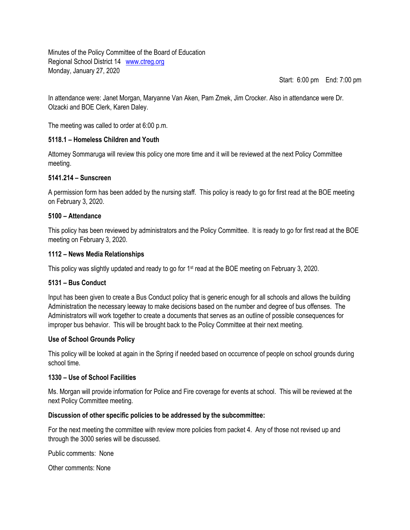Minutes of the Policy Committee of the Board of Education Regional School District 14 [www.ctreg.org](http://www.ctreg.org/) Monday, January 27, 2020

Start: 6:00 pm End: 7:00 pm

In attendance were: Janet Morgan, Maryanne Van Aken, Pam Zmek, Jim Crocker. Also in attendance were Dr. Olzacki and BOE Clerk, Karen Daley.

The meeting was called to order at 6:00 p.m.

# **5118.1 – Homeless Children and Youth**

Attorney Sommaruga will review this policy one more time and it will be reviewed at the next Policy Committee meeting.

## **5141.214 – Sunscreen**

A permission form has been added by the nursing staff. This policy is ready to go for first read at the BOE meeting on February 3, 2020.

## **5100 – Attendance**

This policy has been reviewed by administrators and the Policy Committee. It is ready to go for first read at the BOE meeting on February 3, 2020.

## **1112 – News Media Relationships**

This policy was slightly updated and ready to go for 1st read at the BOE meeting on February 3, 2020.

# **5131 – Bus Conduct**

Input has been given to create a Bus Conduct policy that is generic enough for all schools and allows the building Administration the necessary leeway to make decisions based on the number and degree of bus offenses. The Administrators will work together to create a documents that serves as an outline of possible consequences for improper bus behavior. This will be brought back to the Policy Committee at their next meeting.

## **Use of School Grounds Policy**

This policy will be looked at again in the Spring if needed based on occurrence of people on school grounds during school time.

## **1330 – Use of School Facilities**

Ms. Morgan will provide information for Police and Fire coverage for events at school. This will be reviewed at the next Policy Committee meeting.

## **Discussion of other specific policies to be addressed by the subcommittee:**

For the next meeting the committee with review more policies from packet 4. Any of those not revised up and through the 3000 series will be discussed.

Public comments: None

Other comments: None